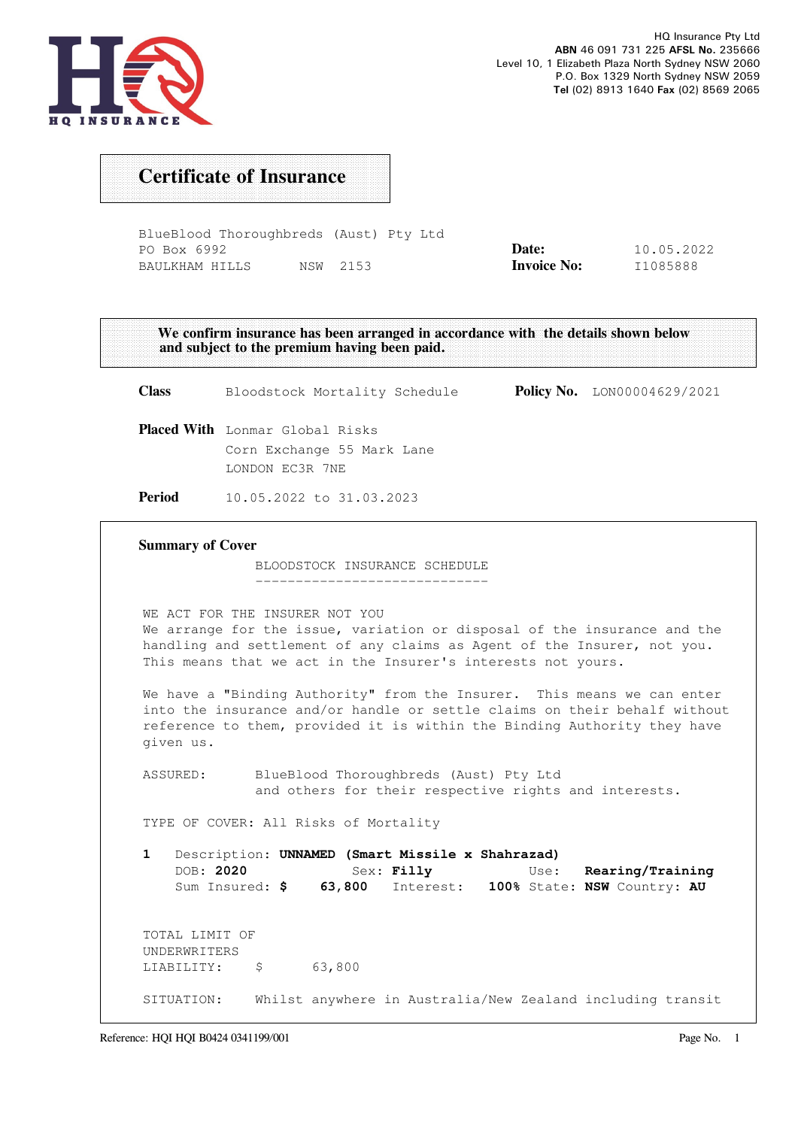

## Certificate of Insurance

BlueBlood Thoroughbreds (Aust) Pty Ltd PO Box 6992 BAULKHAM HILLS NSW 2153 Date: Invoice No: 10.05.2022 I1085888

We confirm insurance has been arranged in accordance with the details shown below and subject to the premium having been paid. Class Bloodstock Mortality Schedule Policy No. LON00004629/2021 Placed With Lonmar Global Risks Corn Exchange 55 Mark Lane LONDON EC3R 7NE Period 10.05.2022 to 31.03.2023 Summary of Cover BLOODSTOCK INSURANCE SCHEDULE ----------------------------- WE ACT FOR THE INSURER NOT YOU We arrange for the issue, variation or disposal of the insurance and the handling and settlement of any claims as Agent of the Insurer, not you. This means that we act in the Insurer's interests not yours. We have a "Binding Authority" from the Insurer. This means we can enter into the insurance and/or handle or settle claims on their behalf without reference to them, provided it is within the Binding Authority they have given us. ASSURED: BlueBlood Thoroughbreds (Aust) Pty Ltd and others for their respective rights and interests. TYPE OF COVER: All Risks of Mortality 1 Description: UNNAMED (Smart Missile x Shahrazad) DOB: 2020 Sex: Filly Use: Rearing/Training Sum Insured: \$ 63,800 Interest: 100% State: NSW Country: AU TOTAL LIMIT OF UNDERWRITERS LIABILITY:  $\frac{1}{2}$  5 63,800 SITUATION: Whilst anywhere in Australia/New Zealand including transit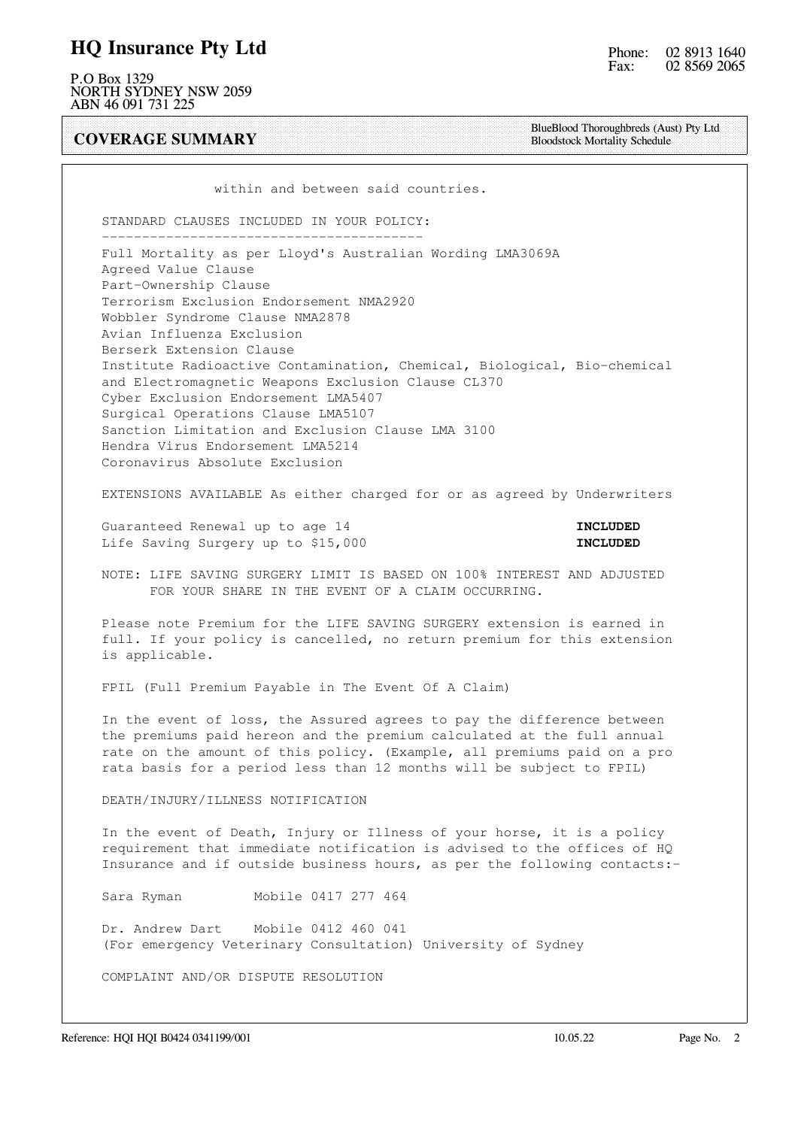#### HQ Insurance Pty Ltd

P.O Box 1329 NORTH SYDNEY NSW 2059 ABN 46 091 731 225

COVERAGE SUMMARY

BlueBlood Thoroughbreds (Aust) Pty Ltd Bloodstock Mortality Schedule

within and between said countries.

 STANDARD CLAUSES INCLUDED IN YOUR POLICY: ----------------------------------------

 Full Mortality as per Lloyd's Australian Wording LMA3069A Agreed Value Clause Part-Ownership Clause Terrorism Exclusion Endorsement NMA2920 Wobbler Syndrome Clause NMA2878 Avian Influenza Exclusion Berserk Extension Clause Institute Radioactive Contamination, Chemical, Biological, Bio-chemical and Electromagnetic Weapons Exclusion Clause CL370 Cyber Exclusion Endorsement LMA5407 Surgical Operations Clause LMA5107 Sanction Limitation and Exclusion Clause LMA 3100 Hendra Virus Endorsement LMA5214 Coronavirus Absolute Exclusion

EXTENSIONS AVAILABLE As either charged for or as agreed by Underwriters

Guaranteed Renewal up to age 14 **INCLUDED** Life Saving Surgery up to \$15,000 **INCLUDED** 

 NOTE: LIFE SAVING SURGERY LIMIT IS BASED ON 100% INTEREST AND ADJUSTED FOR YOUR SHARE IN THE EVENT OF A CLAIM OCCURRING.

 Please note Premium for the LIFE SAVING SURGERY extension is earned in full. If your policy is cancelled, no return premium for this extension is applicable.

FPIL (Full Premium Payable in The Event Of A Claim)

 In the event of loss, the Assured agrees to pay the difference between the premiums paid hereon and the premium calculated at the full annual rate on the amount of this policy. (Example, all premiums paid on a pro rata basis for a period less than 12 months will be subject to FPIL)

DEATH/INJURY/ILLNESS NOTIFICATION

 In the event of Death, Injury or Illness of your horse, it is a policy requirement that immediate notification is advised to the offices of HQ Insurance and if outside business hours, as per the following contacts:-

Sara Ryman Mobile 0417 277 464

 Dr. Andrew Dart Mobile 0412 460 041 (For emergency Veterinary Consultation) University of Sydney

COMPLAINT AND/OR DISPUTE RESOLUTION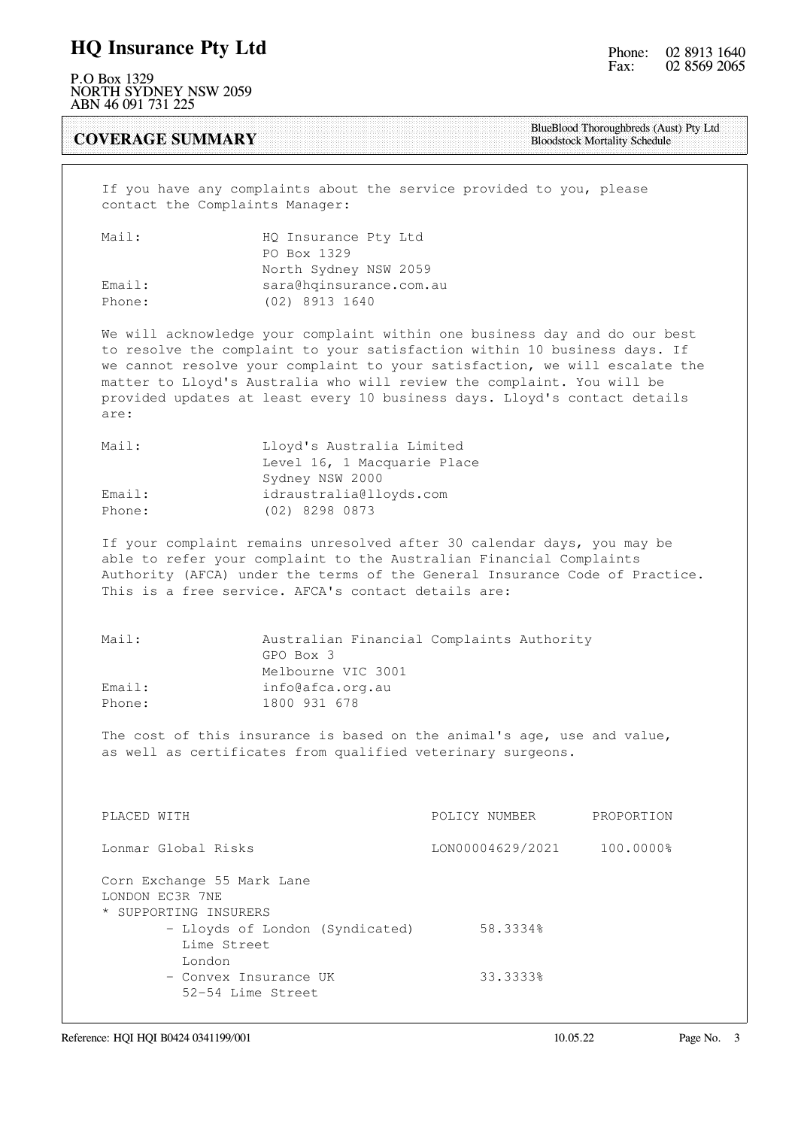### HQ Insurance Pty Ltd

P.O Box 1329 NORTH SYDNEY NSW 2059 ABN 46 091 731 225

COVERAGE SUMMARY

BlueBlood Thoroughbreds (Aust) Pty Ltd Bloodstock Mortality Schedule

 If you have any complaints about the service provided to you, please contact the Complaints Manager:

| Mail:  | HQ Insurance Pty Ltd    |
|--------|-------------------------|
|        | PO Box 1329             |
|        | North Sydney NSW 2059   |
| Email: | sara@hqinsurance.com.au |
| Phone: | (02) 8913 1640          |

 We will acknowledge your complaint within one business day and do our best to resolve the complaint to your satisfaction within 10 business days. If we cannot resolve your complaint to your satisfaction, we will escalate the matter to Lloyd's Australia who will review the complaint. You will be provided updates at least every 10 business days. Lloyd's contact details are:

| Mail:  | Lloyd's Australia Limited   |
|--------|-----------------------------|
|        | Level 16, 1 Macquarie Place |
|        | Sydney NSW 2000             |
| Email: | idraustralia@lloyds.com     |
| Phone: | (02) 8298 0873              |

 If your complaint remains unresolved after 30 calendar days, you may be able to refer your complaint to the Australian Financial Complaints Authority (AFCA) under the terms of the General Insurance Code of Practice. This is a free service. AFCA's contact details are:

| Mail:  | Australian Financial Complaints Authority |
|--------|-------------------------------------------|
|        | GPO Box 3                                 |
|        | Melbourne VIC 3001                        |
| Email: | info@afca.org.au                          |
| Phone: | 1800 931 678                              |

 The cost of this insurance is based on the animal's age, use and value, as well as certificates from qualified veterinary surgeons.

| PLACED WITH                                                            | POLICY NUMBER    | PROPORTION |
|------------------------------------------------------------------------|------------------|------------|
| Lonmar Global Risks                                                    | LON00004629/2021 | 100.0000%  |
| Corn Exchange 55 Mark Lane<br>LONDON EC3R 7NE<br>* SUPPORTING INSURERS |                  |            |
| - Lloyds of London (Syndicated)<br>Lime Street                         | 58.3334%         |            |
| London                                                                 |                  |            |
| - Convex Insurance UK<br>52-54 Lime Street                             | 33.3333%         |            |